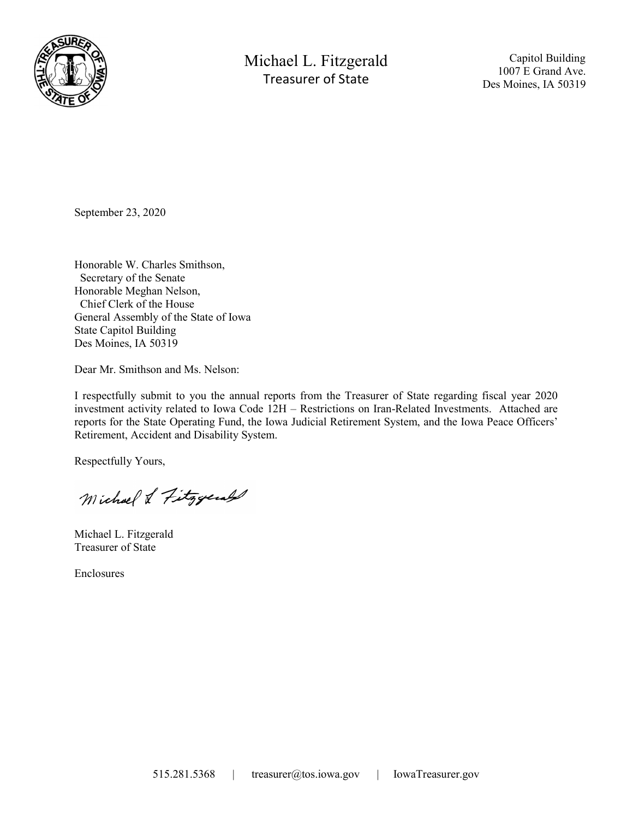

Michael L. Fitzgerald Treasurer of State

 Capitol Building 1007 E Grand Ave. Des Moines, IA 50319

September 23, 2020

Honorable W. Charles Smithson, Secretary of the Senate Honorable Meghan Nelson, Chief Clerk of the House General Assembly of the State of Iowa State Capitol Building Des Moines, IA 50319

Dear Mr. Smithson and Ms. Nelson:

I respectfully submit to you the annual reports from the Treasurer of State regarding fiscal year 2020 investment activity related to Iowa Code 12H – Restrictions on Iran-Related Investments. Attached are reports for the State Operating Fund, the Iowa Judicial Retirement System, and the Iowa Peace Officers' Retirement, Accident and Disability System.

Respectfully Yours,

Michael & Fitzgerald

Michael L. Fitzgerald Treasurer of State

Enclosures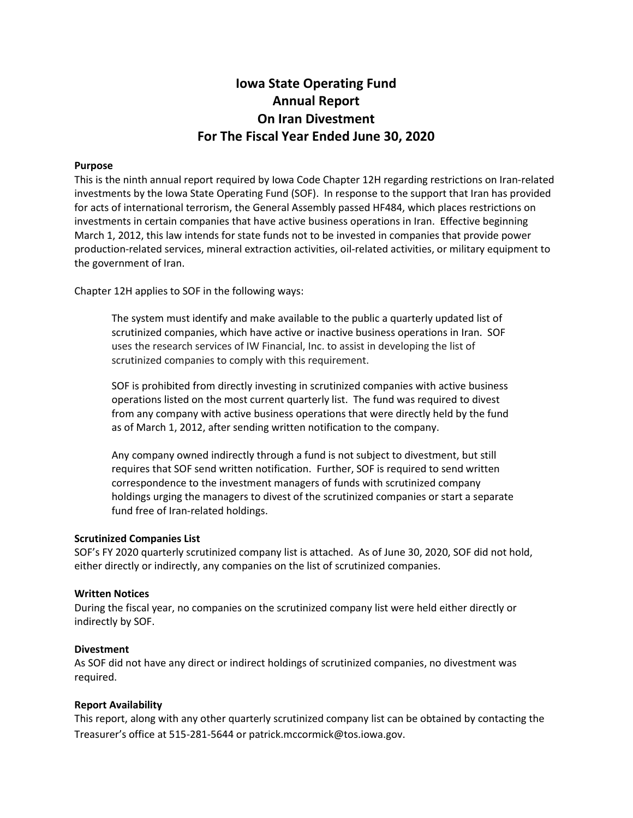# Iowa State Operating Fund Annual Report On Iran Divestment For The Fiscal Year Ended June 30, 2020

## Purpose

This is the ninth annual report required by Iowa Code Chapter 12H regarding restrictions on Iran-related investments by the Iowa State Operating Fund (SOF). In response to the support that Iran has provided for acts of international terrorism, the General Assembly passed HF484, which places restrictions on investments in certain companies that have active business operations in Iran. Effective beginning March 1, 2012, this law intends for state funds not to be invested in companies that provide power production-related services, mineral extraction activities, oil-related activities, or military equipment to the government of Iran.

Chapter 12H applies to SOF in the following ways:

The system must identify and make available to the public a quarterly updated list of scrutinized companies, which have active or inactive business operations in Iran. SOF uses the research services of IW Financial, Inc. to assist in developing the list of scrutinized companies to comply with this requirement.

SOF is prohibited from directly investing in scrutinized companies with active business operations listed on the most current quarterly list. The fund was required to divest from any company with active business operations that were directly held by the fund as of March 1, 2012, after sending written notification to the company.

Any company owned indirectly through a fund is not subject to divestment, but still requires that SOF send written notification. Further, SOF is required to send written correspondence to the investment managers of funds with scrutinized company holdings urging the managers to divest of the scrutinized companies or start a separate fund free of Iran-related holdings.

## Scrutinized Companies List

SOF's FY 2020 quarterly scrutinized company list is attached. As of June 30, 2020, SOF did not hold, either directly or indirectly, any companies on the list of scrutinized companies.

## Written Notices

During the fiscal year, no companies on the scrutinized company list were held either directly or indirectly by SOF.

## Divestment

As SOF did not have any direct or indirect holdings of scrutinized companies, no divestment was required.

## Report Availability

This report, along with any other quarterly scrutinized company list can be obtained by contacting the Treasurer's office at 515-281-5644 or patrick.mccormick@tos.iowa.gov.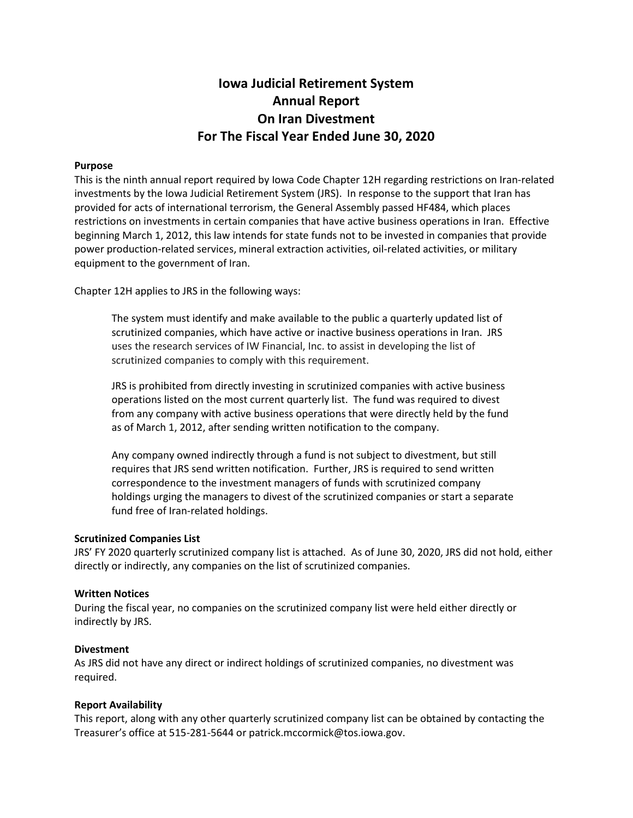# Iowa Judicial Retirement System Annual Report On Iran Divestment For The Fiscal Year Ended June 30, 2020

## Purpose

This is the ninth annual report required by Iowa Code Chapter 12H regarding restrictions on Iran-related investments by the Iowa Judicial Retirement System (JRS). In response to the support that Iran has provided for acts of international terrorism, the General Assembly passed HF484, which places restrictions on investments in certain companies that have active business operations in Iran. Effective beginning March 1, 2012, this law intends for state funds not to be invested in companies that provide power production-related services, mineral extraction activities, oil-related activities, or military equipment to the government of Iran.

Chapter 12H applies to JRS in the following ways:

The system must identify and make available to the public a quarterly updated list of scrutinized companies, which have active or inactive business operations in Iran. JRS uses the research services of IW Financial, Inc. to assist in developing the list of scrutinized companies to comply with this requirement.

JRS is prohibited from directly investing in scrutinized companies with active business operations listed on the most current quarterly list. The fund was required to divest from any company with active business operations that were directly held by the fund as of March 1, 2012, after sending written notification to the company.

Any company owned indirectly through a fund is not subject to divestment, but still requires that JRS send written notification. Further, JRS is required to send written correspondence to the investment managers of funds with scrutinized company holdings urging the managers to divest of the scrutinized companies or start a separate fund free of Iran-related holdings.

## Scrutinized Companies List

JRS' FY 2020 quarterly scrutinized company list is attached. As of June 30, 2020, JRS did not hold, either directly or indirectly, any companies on the list of scrutinized companies.

## Written Notices

During the fiscal year, no companies on the scrutinized company list were held either directly or indirectly by JRS.

## Divestment

As JRS did not have any direct or indirect holdings of scrutinized companies, no divestment was required.

## Report Availability

This report, along with any other quarterly scrutinized company list can be obtained by contacting the Treasurer's office at 515-281-5644 or patrick.mccormick@tos.iowa.gov.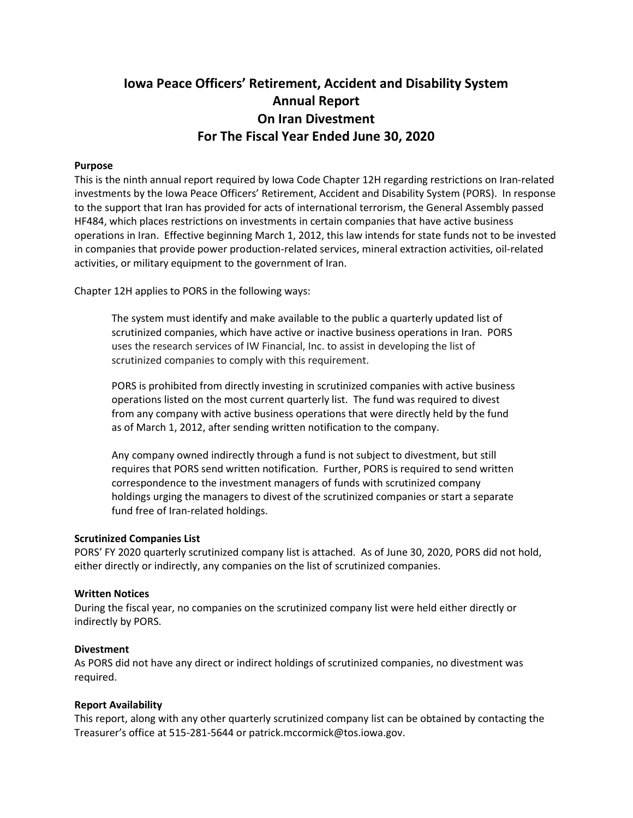# Iowa Peace Officers' Retirement, Accident and Disability System Annual Report On Iran Divestment For The Fiscal Year Ended June 30, 2020

## Purpose

This is the ninth annual report required by Iowa Code Chapter 12H regarding restrictions on Iran-related investments by the Iowa Peace Officers' Retirement, Accident and Disability System (PORS). In response to the support that Iran has provided for acts of international terrorism, the General Assembly passed HF484, which places restrictions on investments in certain companies that have active business operations in Iran. Effective beginning March 1, 2012, this law intends for state funds not to be invested in companies that provide power production-related services, mineral extraction activities, oil-related activities, or military equipment to the government of Iran.

Chapter 12H applies to PORS in the following ways:

The system must identify and make available to the public a quarterly updated list of scrutinized companies, which have active or inactive business operations in Iran. PORS uses the research services of IW Financial, Inc. to assist in developing the list of scrutinized companies to comply with this requirement.

PORS is prohibited from directly investing in scrutinized companies with active business operations listed on the most current quarterly list. The fund was required to divest from any company with active business operations that were directly held by the fund as of March 1, 2012, after sending written notification to the company.

Any company owned indirectly through a fund is not subject to divestment, but still requires that PORS send written notification. Further, PORS is required to send written correspondence to the investment managers of funds with scrutinized company holdings urging the managers to divest of the scrutinized companies or start a separate fund free of Iran-related holdings.

#### Scrutinized Companies List

PORS' FY 2020 quarterly scrutinized company list is attached. As of June 30, 2020, PORS did not hold, either directly or indirectly, any companies on the list of scrutinized companies.

#### Written Notices

During the fiscal year, no companies on the scrutinized company list were held either directly or indirectly by PORS.

#### Divestment

As PORS did not have any direct or indirect holdings of scrutinized companies, no divestment was required.

## Report Availability

This report, along with any other quarterly scrutinized company list can be obtained by contacting the Treasurer's office at 515-281-5644 or patrick.mccormick@tos.iowa.gov.